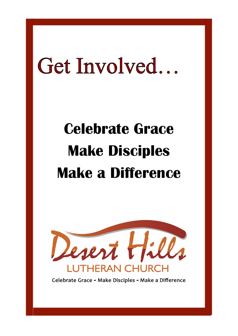# Get Involved...

# **Celebrate Grace Make Disciples Make a Difference**



Celebrate Grace - Make Disciples - Make a Difference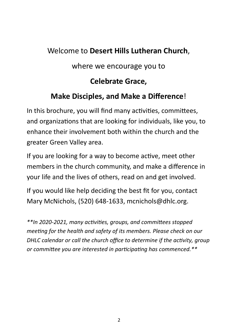# Welcome to **Desert Hills Lutheran Church**,

where we encourage you to

# **Celebrate Grace,**

# **Make Disciples, and Make a Difference**!

In this brochure, you will find many activities, committees, and organizations that are looking for individuals, like you, to enhance their involvement both within the church and the greater Green Valley area.

If you are looking for a way to become active, meet other members in the church community, and make a difference in your life and the lives of others, read on and get involved.

If you would like help deciding the best fit for you, contact Mary McNichols, (520) 648-1633, mcnichols@dhlc.org.

*\*\*In 2020-2021, many activities, groups, and committees stopped meeting for the health and safety of its members. Please check on our DHLC calendar or call the church office to determine if the activity, group or committee you are interested in participating has commenced.\*\**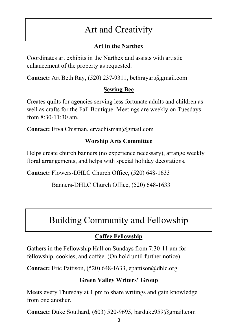# Art and Creativity

# **Art in the Narthex**

Coordinates art exhibits in the Narthex and assists with artistic enhancement of the property as requested.

**Contact:** Art Beth Ray, (520) 237-9311, bethrayart@gmail.com

# **Sewing Bee**

Creates quilts for agencies serving less fortunate adults and children as well as crafts for the Fall Boutique. Meetings are weekly on Tuesdays from 8:30-11:30 am.

**Contact:** Erva Chisman, ervachisman@gmail.com

# **Worship Arts Committee**

Helps create church banners (no experience necessary), arrange weekly floral arrangements, and helps with special holiday decorations.

**Contact:** Flowers-DHLC Church Office, (520) 648-1633

Banners-DHLC Church Office, (520) 648-1633

# Building Community and Fellowship

# **Coffee Fellowship**

Gathers in the Fellowship Hall on Sundays from 7:30-11 am for fellowship, cookies, and coffee. (On hold until further notice)

**Contact:** Eric Pattison, (520) 648-1633, epattison@dhlc.org

# **Green Valley Writers' Group**

Meets every Thursday at 1 pm to share writings and gain knowledge from one another.

**Contact:** Duke Southard, (603) 520-9695, barduke959@gmail.com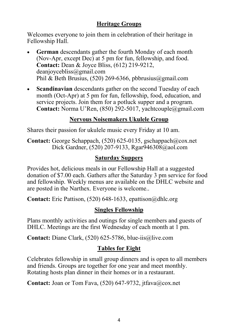#### **Heritage Groups**

Welcomes everyone to join them in celebration of their heritage in Fellowship Hall.

- **German** descendants gather the fourth Monday of each month (Nov-Apr, except Dec) at 5 pm for fun, fellowship, and food. **Contact:** Dean & Joyce Bliss, (612) 219-9212, deanjoycebliss@gmail.com Phil & Beth Brusius,  $(520)$  269-6366, pbbrusius@gmail.com
- **Scandinavian** descendants gather on the second Tuesday of each month (Oct-Apr) at 5 pm for fun, fellowship, food, education, and service projects. Join them for a potluck supper and a program. **Contact:** Norma U'Ren, (850) 292-5017, yachtcouple@gmail.com

#### **Nervous Noisemakers Ukulele Group**

Shares their passion for ukulele music every Friday at 10 am.

**Contact:** George Schappach, (520) 625-0135, gschappach@cox.net Dick Gardner, (520) 207-9133, Rgar946308@aol.com

#### **Saturday Suppers**

Provides hot, delicious meals in our Fellowship Hall at a suggested donation of \$7.00 each. Gathers after the Saturday 3 pm service for food and fellowship. Weekly menus are available on the DHLC website and are posted in the Narthex. Everyone is welcome..

**Contact:** Eric Pattison, (520) 648-1633, epattison@dhlc.org

#### **Singles Fellowship**

Plans monthly activities and outings for single members and guests of DHLC. Meetings are the first Wednesday of each month at 1 pm.

**Contact:** Diane Clark, (520) 625-5786, blue-iis@live.com

#### **Tables for Eight**

Celebrates fellowship in small group dinners and is open to all members and friends. Groups are together for one year and meet monthly. Rotating hosts plan dinner in their homes or in a restaurant.

**Contact:** Joan or Tom Fava, (520) 647-9732, jtfava@cox.net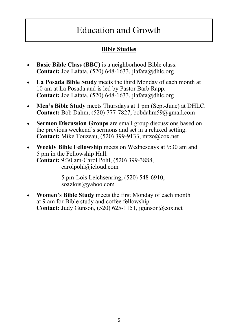# Education and Growth

## **Bible Studies**

- **Basic Bible Class (BBC)** is a neighborhood Bible class. **Contact:** Joe Lafata, (520) 648-1633, jlafata@dhlc.org
- **La Posada Bible Study** meets the third Monday of each month at 10 am at La Posada and is led by Pastor Barb Rapp. **Contact:** Joe Lafata, (520) 648-1633, jlafata@dhlc.org
- **Men's Bible Study** meets Thursdays at 1 pm (Sept-June) at DHLC. **Contact:** Bob Dahm, (520) 777-7827, bobdahm59@gmail.com
- **Sermon Discussion Groups** are small group discussions based on the previous weekend's sermons and set in a relaxed setting. **Contact:** Mike Touzeau, (520) 399-9133, mtzo@cox.net
- **Weekly Bible Fellowship** meets on Wednesdays at 9:30 am and 5 pm in the Fellowship Hall. **Contact:** 9:30 am-Carol Pohl, (520) 399-3888, carolpohl@icloud.com

 5 pm-Lois Leichsenring, (520) 548-6910, soazlois@yahoo.com

• **Women's Bible Study** meets the first Monday of each month at 9 am for Bible study and coffee fellowship. **Contact:** Judy Gunson, (520) 625-1151, jgunson@cox.net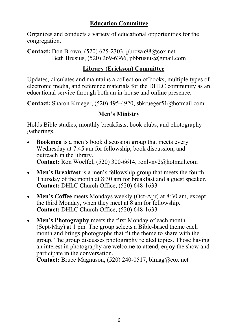#### **Education Committee**

Organizes and conducts a variety of educational opportunities for the congregation.

**Contact:** Don Brown, (520) 625-2303, pbrown98@cox.net Beth Brusius,  $(520)$  269-6366, pbbrusius@gmail.com

#### **Library (Erickson) Committee**

Updates, circulates and maintains a collection of books, multiple types of electronic media, and reference materials for the DHLC community as an educational service through both an in-house and online presence.

**Contact:** Sharon Krueger, (520) 495-4920, sbkrueger51@hotmail.com

## **Men's Ministry**

Holds Bible studies, monthly breakfasts, book clubs, and photography gatherings.

- **Bookmen** is a men's book discussion group that meets every Wednesday at 7:45 am for fellowship, book discussion, and outreach in the library. **Contact:** Ron Woelfel, (520) 300-6614, ronlvnv2@hotmail.com
- **Men's Breakfast** is a men's fellowship group that meets the fourth Thursday of the month at 8:30 am for breakfast and a guest speaker. **Contact:** DHLC Church Office, (520) 648-1633
- **Men's Coffee** meets Mondays weekly (Oct-Apr) at 8:30 am, except the third Monday, when they meet at 8 am for fellowship. **Contact:** DHLC Church Office, (520) 648-1633
- **Men's Photography** meets the first Monday of each month (Sept-May) at 1 pm. The group selects a Bible-based theme each month and brings photographs that fit the theme to share with the group. The group discusses photography related topics. Those having an interest in photography are welcome to attend, enjoy the show and participate in the conversation.

**Contact:** Bruce Magnuson, (520) 240-0517, blmag@cox.net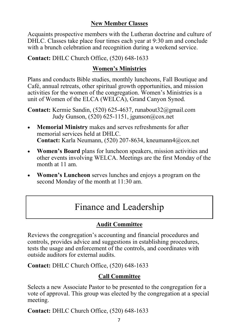#### **New Member Classes**

Acquaints prospective members with the Lutheran doctrine and culture of DHLC. Classes take place four times each year at 9:30 am and conclude with a brunch celebration and recognition during a weekend service.

**Contact:** DHLC Church Office, (520) 648-1633

#### **Women's Ministries**

Plans and conducts Bible studies, monthly luncheons, Fall Boutique and Café, annual retreats, other spiritual growth opportunities, and mission activities for the women of the congregation. Women's Ministries is a unit of Women of the ELCA (WELCA), Grand Canyon Synod.

**Contact:** Kermie Sandin, (520) 625-4637, runabout32@gmail.com Judy Gunson, (520) 625-1151, jgunson@cox.net

- **Memorial Ministry** makes and serves refreshments for after memorial services held at DHLC. **Contact:** Karla Neumann, (520) 207-8634, kneumann4@cox.net
- **Women's Board** plans for luncheon speakers, mission activities and other events involving WELCA. Meetings are the first Monday of the month at 11 am.
- **Women's Luncheon** serves lunches and enjoys a program on the second Monday of the month at 11:30 am.

# Finance and Leadership

## **Audit Committee**

Reviews the congregation's accounting and financial procedures and controls, provides advice and suggestions in establishing procedures, tests the usage and enforcement of the controls, and coordinates with outside auditors for external audits.

**Contact:** DHLC Church Office, (520) 648-1633

## **Call Committee**

Selects a new Associate Pastor to be presented to the congregation for a vote of approval. This group was elected by the congregation at a special meeting.

**Contact:** DHLC Church Office, (520) 648-1633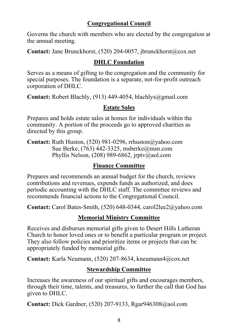#### **Congregational Council**

Governs the church with members who are elected by the congregation at the annual meeting.

**Contact:** Jane Brunckhorst, (520) 204-0057, jbrunckhorst@cox.net

## **DHLC Foundation**

Serves as a means of gifting to the congregation and the community for special purposes. The foundation is a separate, not-for-profit outreach corporation of DHLC.

**Contact:** Robert Blachly, (913) 449-4054, blachlys@gmail.com

#### **Estate Sales**

Prepares and holds estate sales at homes for individuals within the community. A portion of the proceeds go to approved charities as directed by this group.

**Contact:** Ruth Huston, (520) 981-0296, rrhuston@yahoo.com Sue Berke, (763) 442-3325, msberke@msn.com Phyllis Nelson,  $(208)$  989-6862, jrptv@aol.com

#### **Finance Committee**

Prepares and recommends an annual budget for the church, reviews contributions and revenues, expends funds as authorized, and does periodic accounting with the DHLC staff. The committee reviews and recommends financial actions to the Congregational Council.

**Contact:** Carol Bates-Smith, (520) 648-0344, carol2lee2@yahoo.com

## **Memorial Ministry Committee**

Receives and disburses memorial gifts given to Desert Hills Lutheran Church to honor loved ones or to benefit a particular program or project. They also follow policies and prioritize items or projects that can be appropriately funded by memorial gifts.

**Contact:** Karla Neumann, (520) 207-8634, kneumann4@cox.net

## **Stewardship Committee**

Increases the awareness of our spiritual gifts and encourages members, through their time, talents, and treasures, to further the call that God has given to DHLC.

**Contact:** Dick Gardner, (520) 207-9133, Rgar946308@aol.com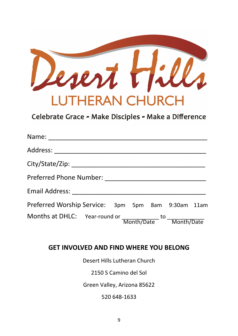

Celebrate Grace - Make Disciples - Make a Difference

| Name: ___________________________                      |  |  |  |
|--------------------------------------------------------|--|--|--|
|                                                        |  |  |  |
|                                                        |  |  |  |
|                                                        |  |  |  |
|                                                        |  |  |  |
| Preferred Worship Service: 3pm 5pm 8am 9:30am 11am     |  |  |  |
| Months at DHLC: Year-round or Month/Date to Month/Date |  |  |  |

#### **GET INVOLVED AND FIND WHERE YOU BELONG**

Desert Hills Lutheran Church

2150 S Camino del Sol

Green Valley, Arizona 85622

520 648-1633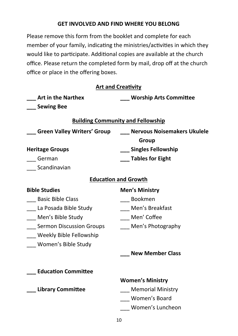#### **GET INVOLVED AND FIND WHERE YOU BELONG**

Please remove this form from the booklet and complete for each member of your family, indicating the ministries/activities in which they would like to participate. Additional copies are available at the church office. Please return the completed form by mail, drop off at the church office or place in the offering boxes.

| <b>Art and Creativity</b>                |  |  |  |  |  |
|------------------------------------------|--|--|--|--|--|
| <b>Worship Arts Committee</b>            |  |  |  |  |  |
|                                          |  |  |  |  |  |
| <b>Building Community and Fellowship</b> |  |  |  |  |  |
| Nervous Noisemakers Ukulele              |  |  |  |  |  |
| Group                                    |  |  |  |  |  |
| Singles Fellowship                       |  |  |  |  |  |
| <b>Tables for Eight</b>                  |  |  |  |  |  |
|                                          |  |  |  |  |  |
| <b>Education and Growth</b>              |  |  |  |  |  |
| <b>Men's Ministry</b>                    |  |  |  |  |  |
| Bookmen                                  |  |  |  |  |  |
| Men's Breakfast                          |  |  |  |  |  |
| Men' Coffee                              |  |  |  |  |  |
| Men's Photography                        |  |  |  |  |  |
|                                          |  |  |  |  |  |
|                                          |  |  |  |  |  |
| <b>New Member Class</b>                  |  |  |  |  |  |
|                                          |  |  |  |  |  |
| <b>Women's Ministry</b>                  |  |  |  |  |  |
| Memorial Ministry                        |  |  |  |  |  |
| Women's Board                            |  |  |  |  |  |
| Women's Luncheon                         |  |  |  |  |  |
|                                          |  |  |  |  |  |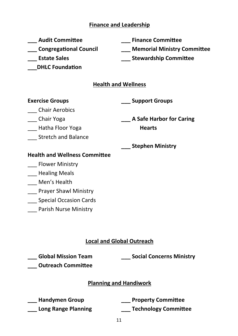#### **Finance and Leadership**

| <b>Audit Committee</b> |  |
|------------------------|--|
|                        |  |

**\_\_\_ Congregational Council**

**\_\_\_ Estate Sales**

**\_\_\_DHLC Foundation** 

**\_\_\_ Finance Committee**

**\_\_\_ Memorial Ministry Committee**

**\_\_\_ Stewardship Committee**

#### **Health and Wellness**

#### **Exercise Groups**

**\_\_\_ Support Groups**

\_\_\_ Chair Aerobics

\_\_\_ Chair Yoga

\_\_\_ Hatha Floor Yoga

\_\_\_ Stretch and Balance

**\_\_\_ A Safe Harbor for Caring Hearts**

**\_\_\_ Stephen Ministry**

#### **Health and Wellness Committee**

- Flower Ministry
- \_\_\_ Healing Meals
- Men's Health
- \_\_\_ Prayer Shawl Ministry
- \_\_\_ Special Occasion Cards
- \_\_\_ Parish Nurse Ministry

## **Local and Global Outreach**

**\_\_\_ Global Mission Team**

**\_\_\_ Social Concerns Ministry**

**\_\_\_ Outreach Committee**

#### **Planning and Handiwork**

**\_\_\_ Handymen Group \_\_\_ Long Range Planning** **\_\_\_ Property Committee**

**\_\_\_ Technology Committee**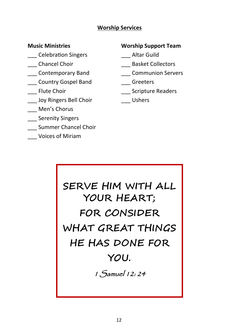#### **Worship Services**

#### **Music Ministries**

- \_\_\_ Celebration Singers
- \_\_\_ Chancel Choir
- \_\_\_ Contemporary Band
- \_\_\_ Country Gospel Band
- \_\_\_ Flute Choir
- \_\_\_ Joy Ringers Bell Choir
- \_\_\_ Men's Chorus
- Serenity Singers
- \_\_\_ Summer Chancel Choir
- \_\_\_ Voices of Miriam

#### **Worship Support Team**

- \_\_\_ Altar Guild
- \_\_\_ Basket Collectors
- \_\_\_ Communion Servers
- \_\_\_ Greeters
- \_\_\_ Scripture Readers
- \_\_\_ Ushers

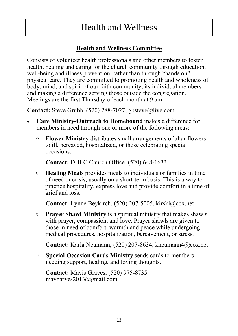# Health and Wellness

## **Health and Wellness Committee**

Consists of volunteer health professionals and other members to foster health, healing and caring for the church community through education, well-being and illness prevention, rather than through "hands on" physical care. They are committed to promoting health and wholeness of body, mind, and spirit of our faith community, its individual members and making a difference serving those outside the congregation. Meetings are the first Thursday of each month at 9 am.

**Contact:** Steve Grubb, (520) 288-7027, gbsteve@live.com

- **Care Ministry-Outreach to Homebound** makes a difference for members in need through one or more of the following areas:
	- **Flower Ministry** distributes small arrangements of altar flowers to ill, bereaved, hospitalized, or those celebrating special occasions.

**Contact:** DHLC Church Office, (520) 648-1633

 **Healing Meals** provides meals to individuals or families in time of need or crisis, usually on a short-term basis. This is a way to practice hospitality, express love and provide comfort in a time of grief and loss.

**Contact:** Lynne Beykirch, (520) 207-5005, kirski@cox.net

 **Prayer Shawl Ministry** is a spiritual ministry that makes shawls with prayer, compassion, and love. Prayer shawls are given to those in need of comfort, warmth and peace while undergoing medical procedures, hospitalization, bereavement, or stress.

**Contact:** Karla Neumann, (520) 207-8634, kneumann4@cox.net

 **Special Occasion Cards Ministry** sends cards to members needing support, healing, and loving thoughts.

**Contact:** Mavis Graves, (520) 975-8735, mavgarves2013@gmail.com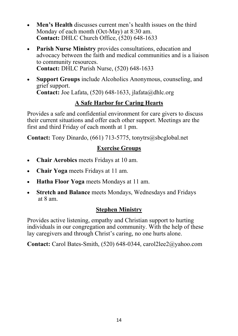- **Men's Health** discusses current men's health issues on the third Monday of each month (Oct-May) at 8:30 am. **Contact:** DHLC Church Office, (520) 648-1633
- **Parish Nurse Ministry** provides consultations, education and advocacy between the faith and medical communities and is a liaison to community resources. **Contact:** DHLC Parish Nurse, (520) 648-1633
- **Support Groups** include Alcoholics Anonymous, counseling, and grief support. **Contact:** Joe Lafata, (520) 648-1633, jlafata@dhlc.org

# **A Safe Harbor for Caring Hearts**

Provides a safe and confidential environment for care givers to discuss their current situations and offer each other support. Meetings are the first and third Friday of each month at 1 pm.

**Contact:** Tony Dinardo, (661) 713-5775, tonytrs@sbcglobal.net

## **Exercise Groups**

- **Chair Aerobics** meets Fridays at 10 am.
- **Chair Yoga** meets Fridays at 11 am.
- **Hatha Floor Yoga** meets Mondays at 11 am.
- **Stretch and Balance** meets Mondays, Wednesdays and Fridays at 8 am.

## **Stephen Ministry**

Provides active listening, empathy and Christian support to hurting individuals in our congregation and community. With the help of these lay caregivers and through Christ's caring, no one hurts alone.

**Contact:** Carol Bates-Smith, (520) 648-0344, carol2lee2@yahoo.com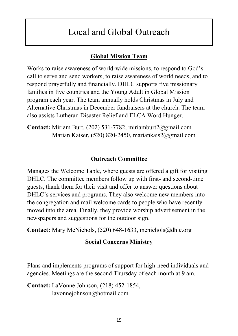# Local and Global Outreach

#### **Global Mission Team**

Works to raise awareness of world-wide missions, to respond to God's call to serve and send workers, to raise awareness of world needs, and to respond prayerfully and financially. DHLC supports five missionary families in five countries and the Young Adult in Global Mission program each year. The team annually holds Christmas in July and Alternative Christmas in December fundraisers at the church. The team also assists Lutheran Disaster Relief and ELCA Word Hunger.

**Contact:** Miriam Burt, (202) 531-7782, miriamburt2@gmail.com Marian Kaiser, (520) 820-2450, mariankais2@gmail.com

#### **Outreach Committee**

Manages the Welcome Table, where guests are offered a gift for visiting DHLC. The committee members follow up with first- and second-time guests, thank them for their visit and offer to answer questions about DHLC's services and programs. They also welcome new members into the congregation and mail welcome cards to people who have recently moved into the area. Finally, they provide worship advertisement in the newspapers and suggestions for the outdoor sign.

**Contact:** Mary McNichols, (520) 648-1633, mcnichols@dhlc.org

#### **Social Concerns Ministry**

Plans and implements programs of support for high-need individuals and agencies. Meetings are the second Thursday of each month at 9 am.

**Contact:** LaVonne Johnson, (218) 452-1854, lavonnejohnson@hotmail.com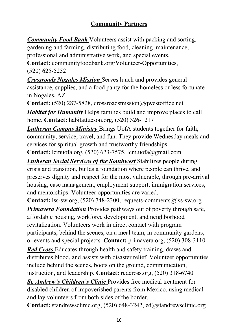# **Community Partners**

*Community Food Bank* Volunteers assist with packing and sorting, gardening and farming, distributing food, cleaning, maintenance, professional and administrative work, and special events.

**Contact:** communityfoodbank.org/Volunteer-Opportunities, (520) 625-5252

*Crossroads Nogales Mission* Serves lunch and provides general assistance, supplies, and a food panty for the homeless or less fortunate in Nogales, AZ.

**Contact:** (520) 287-5828, crossroadsmission@qwestoffice.net

*Habitat for Humanity* Helps families build and improve places to call home. **Contact:** habitattucson.org, (520) 326-1217

*Lutheran Campus Ministry* Brings UofA students together for faith, community, service, travel, and fun. They provide Wednesday meals and services for spiritual growth and trustworthy friendships.

**Contact:** lcmuofa.org, (520) 623-7575, lcm.uofa@gmail.com

*Lutheran Social Services of the Southwest* Stabilizes people during crisis and transition, builds a foundation where people can thrive, and preserves dignity and respect for the most vulnerable, through pre-arrival housing, case management, employment support, immigration services, and mentorships. Volunteer opportunities are varied.

**Contact:** lss-sw.org, (520) 748-2300, requests-comments@lss-sw.org

*Primavera Foundation* Provides pathways out of poverty through safe, affordable housing, workforce development, and neighborhood revitalization. Volunteers work in direct contact with program participants, behind the scenes, on a meal team, in community gardens, or events and special projects. **Contact:** primavera.org, (520) 308-3110

*Red Cross* Educates through health and safety training, draws and distributes blood, and assists with disaster relief. Volunteer opportunities include behind the scenes, boots on the ground, communication, instruction, and leadership. **Contact:** redcross.org, (520) 318-6740

*St. Andrew's Children's Clinic* Provides free medical treatment for disabled children of impoverished parents from Mexico, using medical and lay volunteers from both sides of the border.

**Contact:** standrewsclinic.org, (520) 648-3242, ed@standrewsclinic.org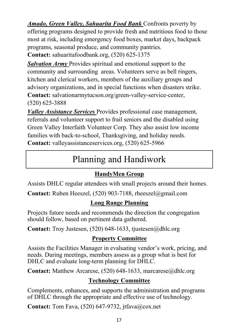*Amado, Green Valley, Sahuarita Food Bank* Confronts poverty by offering programs designed to provide fresh and nutritious food to those most at risk, including emergency food boxes, market days, backpack programs, seasonal produce, and community pantries.

**Contact:** sahuaritafoodbank.org, (520) 625-1375

**Salvation Army Provides spiritual and emotional support to the** community and surrounding areas. Volunteers serve as bell ringers, kitchen and clerical workers, members of the auxiliary groups and advisory organizations, and in special functions when disasters strike. **Contact:** salvationarmytucson.org/green-valley-service-center, (520) 625-3888

*Valley Assistance Services* Provides professional case management, referrals and volunteer support to frail seniors and the disabled using Green Valley Interfaith Volunteer Corp. They also assist low income families with back-to-school, Thanksgiving, and holiday needs. **Contact:** valleyassistanceservices.org, (520) 625-5966

# Planning and Handiwork

# **HandyMen Group**

Assists DHLC regular attendees with small projects around their homes.

**Contact:** Ruben Heeszel, (520) 903-7188, rheeszel@gmail.com

# **Long Range Planning**

Projects future needs and recommends the direction the congregation should follow, based on pertinent data gathered.

**Contact:** Troy Justesen, (520) 648-1633, tjustesen@dhlc.org

# **Property Committee**

Assists the Facilities Manager in evaluating vendor's work, pricing, and needs. During meetings, members assess as a group what is best for DHLC and evaluate long-term planning for DHLC.

**Contact:** Matthew Arcarese, (520) 648-1633, marcarese@dhlc.org

# **Technology Committee**

Complements, enhances, and supports the administration and programs of DHLC through the appropriate and effective use of technology.

**Contact:** Tom Fava, (520) 647-9732, jtfava@cox.net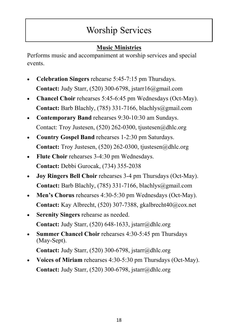# Worship Services

# **Music Ministries**

Performs music and accompaniment at worship services and special events.

- **Celebration Singers** rehearse 5:45-7:15 pm Thursdays. **Contact:** Judy Starr, (520) 300-6798, jstarr16@gmail.com
- **Chancel Choir** rehearses 5:45-6:45 pm Wednesdays (Oct-May). **Contact:** Barb Blachly, (785) 331-7166, blachlys@gmail.com
- **Contemporary Band** rehearses 9:30-10:30 am Sundays. Contact: Troy Justesen, (520) 262-0300, tjustesen@dhlc.org
- **Country Gospel Band** rehearses 1-2:30 pm Saturdays. **Contact:** Troy Justesen, (520) 262-0300, tjustesen@dhlc.org
- **Flute Choir** rehearses 3-4:30 pm Wednesdays. **Contact:** Debbi Gurocak, (734) 355-2038
- **Joy Ringers Bell Choir** rehearses 3-4 pm Thursdays (Oct-May). **Contact:** Barb Blachly, (785) 331-7166, blachlys@gmail.com
- **Men's Chorus** rehearses 4:30-5:30 pm Wednesdays (Oct-May). **Contact:** Kay Albrecht, (520) 307-7388, gkalbrecht40@cox.net
- **Serenity Singers** rehearse as needed. **Contact:** Judy Starr, (520) 648-1633, jstarr@dhlc.org
- **Summer Chancel Choir** rehearses 4:30-5:45 pm Thursdays (May-Sept).

**Contact:** Judy Starr, (520) 300-6798, jstarr@dhlc.org

• **Voices of Miriam** rehearses 4:30-5:30 pm Thursdays (Oct-May). **Contact:** Judy Starr, (520) 300-6798, jstarr@dhlc.org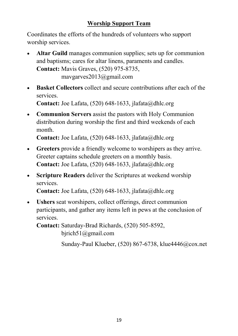## **Worship Support Team**

Coordinates the efforts of the hundreds of volunteers who support worship services.

- **Altar Guild** manages communion supplies; sets up for communion and baptisms; cares for altar linens, paraments and candles. **Contact:** Mavis Graves, (520) 975-8735, mavgarves2013@gmail.com
- **Basket Collectors** collect and secure contributions after each of the services.

**Contact:** Joe Lafata, (520) 648-1633, jlafata@dhlc.org

• **Communion Servers** assist the pastors with Holy Communion distribution during worship the first and third weekends of each month.

**Contact:** Joe Lafata, (520) 648-1633, jlafata@dhlc.org

- **Greeters** provide a friendly welcome to worshipers as they arrive. Greeter captains schedule greeters on a monthly basis. **Contact:** Joe Lafata, (520) 648-1633, jlafata@dhlc.org
- **Scripture Readers** deliver the Scriptures at weekend worship services.

**Contact:** Joe Lafata, (520) 648-1633, jlafata@dhlc.org

• **Ushers** seat worshipers, collect offerings, direct communion participants, and gather any items left in pews at the conclusion of services.

**Contact:** Saturday-Brad Richards, (520) 505-8592, bjrich51@gmail.com

Sunday-Paul Klueber, (520) 867-6738, klue4446@cox.net